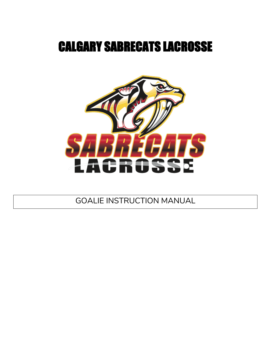# CALGARY SABRECATS LACROSSE



GOALIE INSTRUCTION MANUAL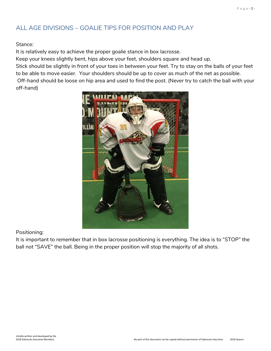## ALL AGE DIVISIONS – GOALIE TIPS FOR POSITION AND PLAY

Stance:

It is relatively easy to achieve the proper goalie stance in box lacrosse.

Keep your knees slightly bent, hips above your feet, shoulders square and head up.

Stick should be slightly in front of your toes in between your feet. Try to stay on the balls of your feet to be able to move easier. Your shoulders should be up to cover as much of the net as possible.

Off-hand should be loose on hip area and used to find the post. (Never try to catch the ball with your off-hand)



Positioning:

It is important to remember that in box lacrosse positioning is everything. The idea is to "STOP" the ball not "SAVE" the ball. Being in the proper position will stop the majority of all shots.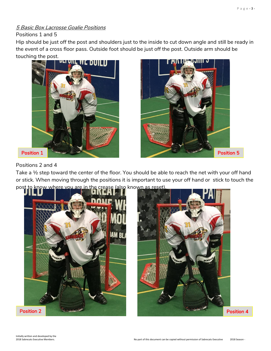## 5 Basic Box Lacrosse Goalie Positions

#### Positions 1 and 5

Hip should be just off the post and shoulders just to the inside to cut down angle and still be ready in the event of a cross floor pass. Outside foot should be just off the post. Outside arm should be touching the post.





## Positions 2 and 4

Take a ½ step toward the center of the floor. You should be able to reach the net with your off hand or stick. When moving through the positions it is important to use your off hand or stick to touch the post to know where you are in the crease (also known as reset).



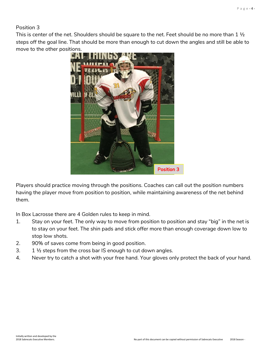Position 3

This is center of the net. Shoulders should be square to the net. Feet should be no more than 1  $\frac{1}{2}$ steps off the goal line. That should be more than enough to cut down the angles and still be able to move to the other positions.



Players should practice moving through the positions. Coaches can call out the position numbers having the player move from position to position, while maintaining awareness of the net behind them.

In Box Lacrosse there are 4 Golden rules to keep in mind.

- 1. Stay on your feet. The only way to move from position to position and stay "big" in the net is to stay on your feet. The shin pads and stick offer more than enough coverage down low to stop low shots.
- 2. 90% of saves come from being in good position.
- 3. 1 ½ steps from the cross bar IS enough to cut down angles.
- 4. Never try to catch a shot with your free hand. Your gloves only protect the back of your hand.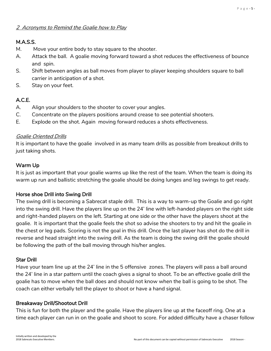### 2 Acronyms to Remind the Goalie how to Play

## M.A.S.S.

- M. Move your entire body to stay square to the shooter.
- A. Attack the ball. A goalie moving forward toward a shot reduces the effectiveness of bounce and spin.
- S. Shift between angles as ball moves from player to player keeping shoulders square to ball carrier in anticipation of a shot.
- S. Stay on your feet.

## A.C.E.

- A. Align your shoulders to the shooter to cover your angles.
- C. Concentrate on the players positions around crease to see potential shooters.
- E. Explode on the shot. Again moving forward reduces a shots effectiveness.

## Goalie Oriented Drills

It is important to have the goalie involved in as many team drills as possible from breakout drills to just taking shots.

## Warm Up

It is just as important that your goalie warms up like the rest of the team. When the team is doing its warm up run and ballistic stretching the goalie should be doing lunges and leg swings to get ready.

## Horse shoe Drill into Swing Drill

The swing drill is becoming a Sabrecat staple drill. This is a way to warm-up the Goalie and go right into the swing drill. Have the players line up on the 24' line with left-handed players on the right side and right-handed players on the left. Starting at one side or the other have the players shoot at the goalie. It is important that the goalie feels the shot so advise the shooters to try and hit the goalie in the chest or leg pads. Scoring is not the goal in this drill. Once the last player has shot do the drill in reverse and head straight into the swing drill. As the team is doing the swing drill the goalie should be following the path of the ball moving through his/her angles.

## Star Drill

Have your team line up at the 24' line in the 5 offensive zones. The players will pass a ball around the 24' line in a star pattern until the coach gives a signal to shoot. To be an effective goalie drill the goalie has to move when the ball does and should not know when the ball is going to be shot. The coach can either verbally tell the player to shoot or have a hand signal.

#### Breakaway Drill/Shootout Drill

This is fun for both the player and the goalie. Have the players line up at the faceoff ring. One at a time each player can run in on the goalie and shoot to score. For added difficulty have a chaser follow